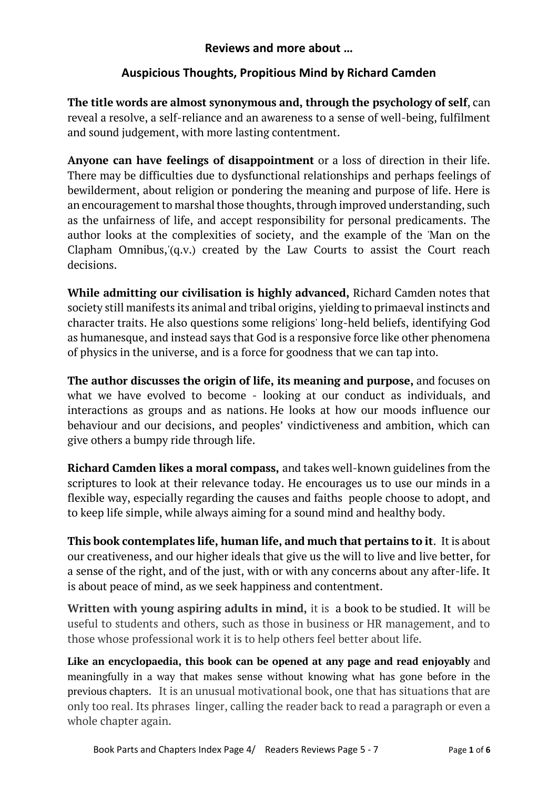## **Reviews and more about …**

## **Auspicious Thoughts, Propitious Mind by Richard Camden**

**The title words are almost synonymous and, through the psychology of self**, can reveal a resolve, a self-reliance and an awareness to a sense of well-being, fulfilment and sound judgement, with more lasting contentment.

**Anyone can have feelings of disappointment** or a loss of direction in their life. There may be difficulties due to dysfunctional relationships and perhaps feelings of bewilderment, about religion or pondering the meaning and purpose of life. Here is an encouragement to marshal those thoughts, through improved understanding, such as the unfairness of life, and accept responsibility for personal predicaments. The author looks at the complexities of society, and the example of the 'Man on the Clapham Omnibus,'(q.v.) created by the Law Courts to assist the Court reach decisions.

**While admitting our civilisation is highly advanced,** Richard Camden notes that society still manifests its animal and tribal origins, yielding to primaeval instincts and character traits. He also questions some religions' long-held beliefs, identifying God as humanesque, and instead says that God is a responsive force like other phenomena of physics in the universe, and is a force for goodness that we can tap into.

**The author discusses the origin of life, its meaning and purpose,** and focuses on what we have evolved to become - looking at our conduct as individuals, and interactions as groups and as nations. He looks at how our moods influence our behaviour and our decisions, and peoples' vindictiveness and ambition, which can give others a bumpy ride through life.

**Richard Camden likes a moral compass,** and takes well-known guidelines from the scriptures to look at their relevance today. He encourages us to use our minds in a flexible way, especially regarding the causes and faiths people choose to adopt, and to keep life simple, while always aiming for a sound mind and healthy body.

**This book contemplates life, human life, and much that pertains to it**. It is about our creativeness, and our higher ideals that give us the will to live and live better, for a sense of the right, and of the just, with or with any concerns about any after-life. It is about peace of mind, as we seek happiness and contentment.

**Written with young aspiring adults in mind,** it is a book to be studied. It will be useful to students and others, such as those in business or HR management, and to those whose professional work it is to help others feel better about life.

**Like an encyclopaedia, this book can be opened at any page and read enjoyably** and meaningfully in a way that makes sense without knowing what has gone before in the previous chapters. It is an unusual motivational book, one that has situations that are only too real. Its phrases linger, calling the reader back to read a paragraph or even a whole chapter again.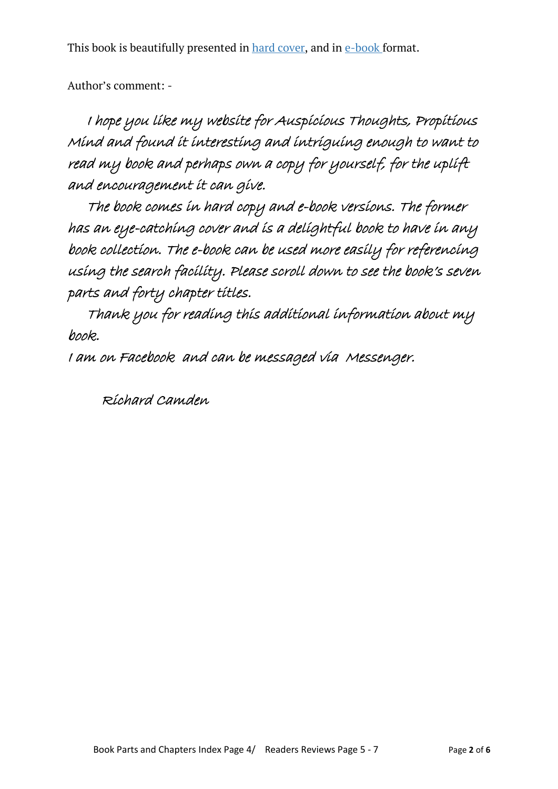This book is beautifully presented in [hard cover,](https://www.rmcamden.com/home#HardCover) and in [e-book](https://www.rmcamden.com/home#ebook) format.

Author's comment: -

 I hope you like my website for Auspicious Thoughts, Propitious Mind and found it interesting and intriguing enough to want to read my book and perhaps own a copy for yourself, for the uplift and encouragement it can give.

 The book comes in hard copy and e-book versions. The former has an eye-catching cover and is a delightful book to have in any book collection. The e-book can be used more easily for referencing using the search facility. Please scroll down to see the book's seven parts and forty chapter titles.

 Thank you for reading this additional information about my book.

I am on Facebook and can be messaged via Messenger.

Richard Camden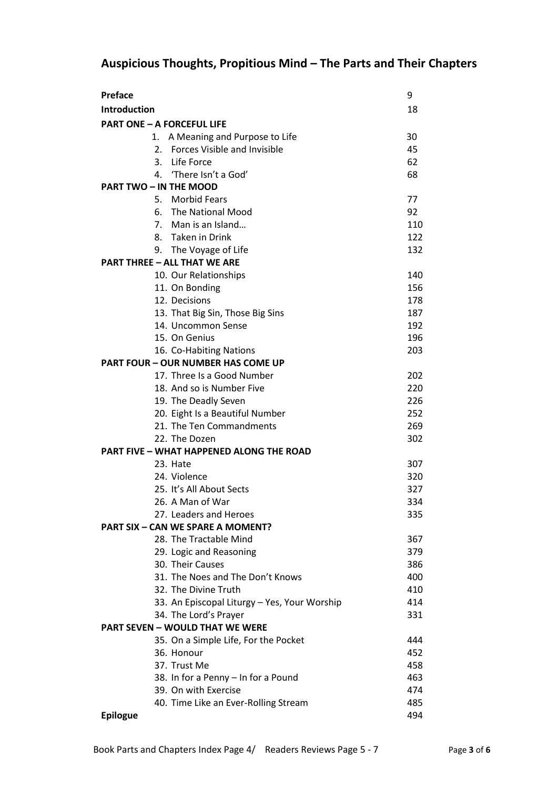# **Auspicious Thoughts, Propitious Mind – The Parts and Their Chapters**

| <b>Preface</b>                                  | 9   |
|-------------------------------------------------|-----|
| <b>Introduction</b>                             | 18  |
| <b>PART ONE - A FORCEFUL LIFE</b>               |     |
| A Meaning and Purpose to Life<br>1.             | 30  |
| 2. Forces Visible and Invisible                 | 45  |
| 3. Life Force                                   | 62  |
| 'There Isn't a God'<br>4.                       | 68  |
| <b>PART TWO - IN THE MOOD</b>                   |     |
| 5. Morbid Fears                                 | 77  |
| 6. The National Mood                            | 92  |
| 7. Man is an Island                             | 110 |
| 8. Taken in Drink                               | 122 |
| 9. The Voyage of Life                           | 132 |
| <b>PART THREE - ALL THAT WE ARE</b>             |     |
| 10. Our Relationships                           | 140 |
| 11. On Bonding                                  | 156 |
| 12. Decisions                                   | 178 |
| 13. That Big Sin, Those Big Sins                | 187 |
| 14. Uncommon Sense                              | 192 |
| 15. On Genius                                   | 196 |
| 16. Co-Habiting Nations                         | 203 |
| <b>PART FOUR - OUR NUMBER HAS COME UP</b>       |     |
| 17. Three Is a Good Number                      | 202 |
| 18. And so is Number Five                       | 220 |
| 19. The Deadly Seven                            | 226 |
| 20. Eight Is a Beautiful Number                 | 252 |
| 21. The Ten Commandments                        | 269 |
| 22. The Dozen                                   | 302 |
| <b>PART FIVE - WHAT HAPPENED ALONG THE ROAD</b> |     |
| 23. Hate                                        | 307 |
| 24. Violence                                    | 320 |
| 25. It's All About Sects                        | 327 |
| 26. A Man of War                                | 334 |
| 27. Leaders and Heroes                          | 335 |
| <b>PART SIX - CAN WE SPARE A MOMENT?</b>        |     |
| 28. The Tractable Mind                          | 367 |
| 29. Logic and Reasoning                         | 379 |
| 30. Their Causes                                | 386 |
| 31. The Noes and The Don't Knows                | 400 |
| 32. The Divine Truth                            | 410 |
| 33. An Episcopal Liturgy - Yes, Your Worship    | 414 |
| 34. The Lord's Prayer                           | 331 |
| <b>PART SEVEN - WOULD THAT WE WERE</b>          |     |
| 35. On a Simple Life, For the Pocket            | 444 |
| 36. Honour                                      | 452 |
| 37. Trust Me                                    | 458 |
| 38. In for a Penny - In for a Pound             | 463 |
| 39. On with Exercise                            | 474 |
| 40. Time Like an Ever-Rolling Stream            | 485 |
| <b>Epilogue</b>                                 | 494 |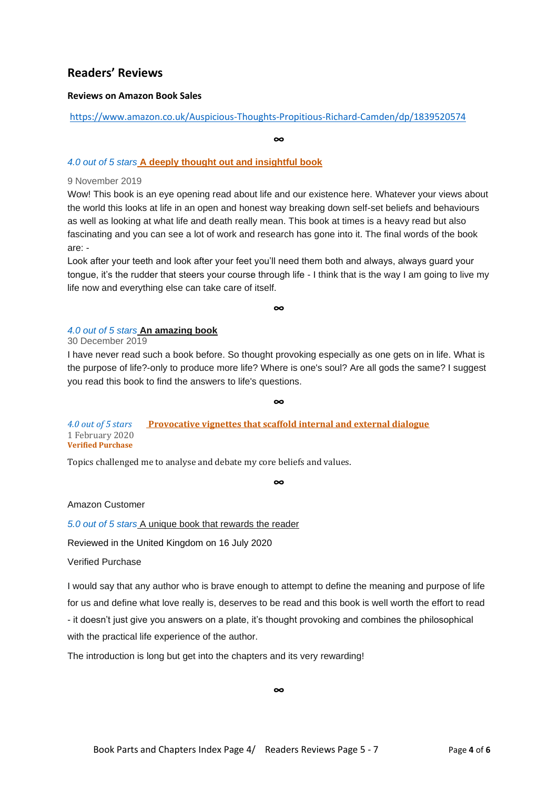### **Readers' Reviews**

#### **Reviews on Amazon Book Sales**

#### https://www.amazon.co.uk/Auspicious-Thoughts-Propitious-Richard-Camden/dp/1839520574

**∞**

#### *4.0 out of 5 stars* **A deeply thought out and insightful book**

#### 9 November 2019

Wow! This book is an eye opening read about life and our existence here. Whatever your views about the world this looks at life in an open and honest way breaking down self-set beliefs and behaviours as well as looking at what life and death really mean. This book at times is a heavy read but also fascinating and you can see a lot of work and research has gone into it. The final words of the book are: -

Look after your teeth and look after your feet you'll need them both and always, always guard your tongue, it's the rudder that steers your course through life - I think that is the way I am going to live my life now and everything else can take care of itself.

**∞**

#### *4.0 out of 5 stars* **An amazing book**

30 December 2019

I have never read such a book before. So thought provoking especially as one gets on in life. What is the purpose of life?-only to produce more life? Where is one's soul? Are all gods the same? I suggest you read this book to find the answers to life's questions.

**∞**

*4.0 out of 5 stars* **Provocative vignettes that scaffold internal and external dialogue**  1 February 2020 **Verified Purchase**

Topics challenged me to analyse and debate my core beliefs and values.

**∞**

Amazon Customer

*5.0 out of 5 stars* A unique book that rewards the reader

Reviewed in the United Kingdom on 16 July 2020

Verified Purchase

I would say that any author who is brave enough to attempt to define the meaning and purpose of life for us and define what love really is, deserves to be read and this book is well worth the effort to read - it doesn't just give you answers on a plate, it's thought provoking and combines the philosophical with the practical life experience of the author.

The introduction is long but get into the chapters and its very rewarding!

**∞**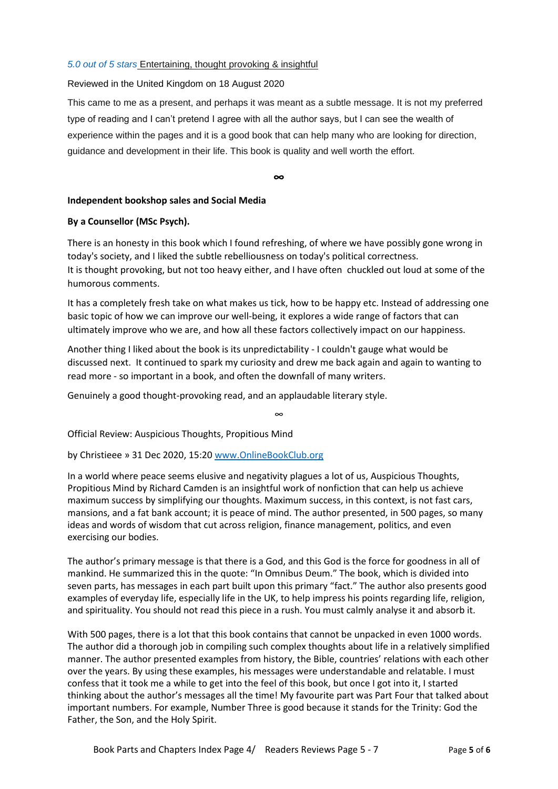#### *5.0 out of 5 stars* Entertaining, thought provoking & insightful

#### Reviewed in the United Kingdom on 18 August 2020

This came to me as a present, and perhaps it was meant as a subtle message. It is not my preferred type of reading and I can't pretend I agree with all the author says, but I can see the wealth of experience within the pages and it is a good book that can help many who are looking for direction, guidance and development in their life. This book is quality and well worth the effort.

**∞**

#### **Independent bookshop sales and Social Media**

#### **By a Counsellor (MSc Psych).**

There is an honesty in this book which I found refreshing, of where we have possibly gone wrong in today's society, and I liked the subtle rebelliousness on today's political correctness. It is thought provoking, but not too heavy either, and I have often chuckled out loud at some of the humorous comments.

It has a completely fresh take on what makes us tick, how to be happy etc. Instead of addressing one basic topic of how we can improve our well-being, it explores a wide range of factors that can ultimately improve who we are, and how all these factors collectively impact on our happiness.

Another thing I liked about the book is its unpredictability - I couldn't gauge what would be discussed next. It continued to spark my curiosity and drew me back again and again to wanting to read more - so important in a book, and often the downfall of many writers.

Genuinely a good thought-provoking read, and an applaudable literary style.

∞

Official Review: Auspicious Thoughts, Propitious Mind

by Christieee » 31 Dec 2020, 15:20 www.OnlineBookClub.org

In a world where peace seems elusive and negativity plagues a lot of us, Auspicious Thoughts, Propitious Mind by Richard Camden is an insightful work of nonfiction that can help us achieve maximum success by simplifying our thoughts. Maximum success, in this context, is not fast cars, mansions, and a fat bank account; it is peace of mind. The author presented, in 500 pages, so many ideas and words of wisdom that cut across religion, finance management, politics, and even exercising our bodies.

The author's primary message is that there is a God, and this God is the force for goodness in all of mankind. He summarized this in the quote: "In Omnibus Deum." The book, which is divided into seven parts, has messages in each part built upon this primary "fact." The author also presents good examples of everyday life, especially life in the UK, to help impress his points regarding life, religion, and spirituality. You should not read this piece in a rush. You must calmly analyse it and absorb it.

With 500 pages, there is a lot that this book contains that cannot be unpacked in even 1000 words. The author did a thorough job in compiling such complex thoughts about life in a relatively simplified manner. The author presented examples from history, the Bible, countries' relations with each other over the years. By using these examples, his messages were understandable and relatable. I must confess that it took me a while to get into the feel of this book, but once I got into it, I started thinking about the author's messages all the time! My favourite part was Part Four that talked about important numbers. For example, Number Three is good because it stands for the Trinity: God the Father, the Son, and the Holy Spirit.